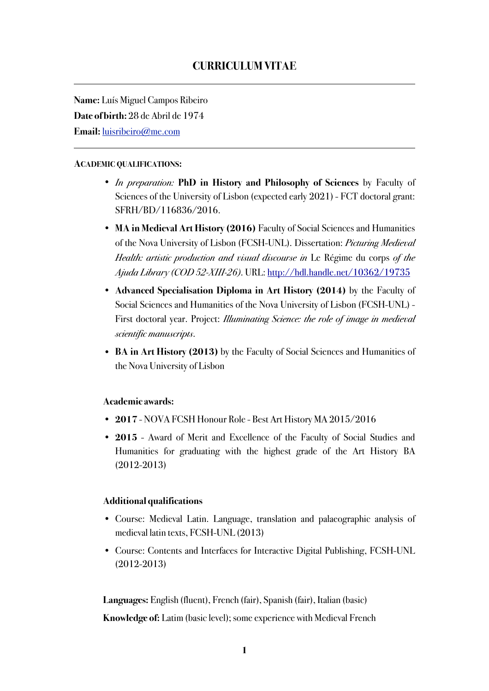**Name:** Luís Miguel Campos Ribeiro **Date of birth:** 28 de Abril de 1974 **Email:** [luisribeiro@me.com](mailto:luiscamposribeiro@me.com)

#### **ACADEMIC QUALIFICATIONS:**

- *In preparation:* **PhD in History and Philosophy of Sciences** by Faculty of Sciences of the University of Lisbon (expected early 2021) - FCT doctoral grant: SFRH/BD/116836/2016.
- **MA in Medieval Art History (2016)** Faculty of Social Sciences and Humanities of the Nova University of Lisbon (FCSH-UNL). Dissertation: *Picturing Medieval Health: artistic production and visual discourse in* Le Régime du corps *of the Ajuda Library (COD 52-XIII-26)*. URL:<http://hdl.handle.net/10362/19735>
- **Advanced Specialisation Diploma in Art History (2014)** by the Faculty of Social Sciences and Humanities of the Nova University of Lisbon (FCSH-UNL) - First doctoral year. Project: *Illuminating Science: the role of image in medieval scientific manuscripts*.
- **BA in Art History (2013)** by the Faculty of Social Sciences and Humanities of the Nova University of Lisbon

### **Academic awards:**

- **2017** NOVA FCSH Honour Role Best Art History MA 2015/2016
- **2015**  Award of Merit and Excellence of the Faculty of Social Studies and Humanities for graduating with the highest grade of the Art History BA (2012-2013)

### **Additional qualifications**

- Course: Medieval Latin. Language, translation and palaeographic analysis of medieval latin texts, FCSH-UNL (2013)
- Course: Contents and Interfaces for Interactive Digital Publishing, FCSH-UNL (2012-2013)

**Languages:** English (fluent), French (fair), Spanish (fair), Italian (basic)

**Knowledge of:** Latim (basic level); some experience with Medieval French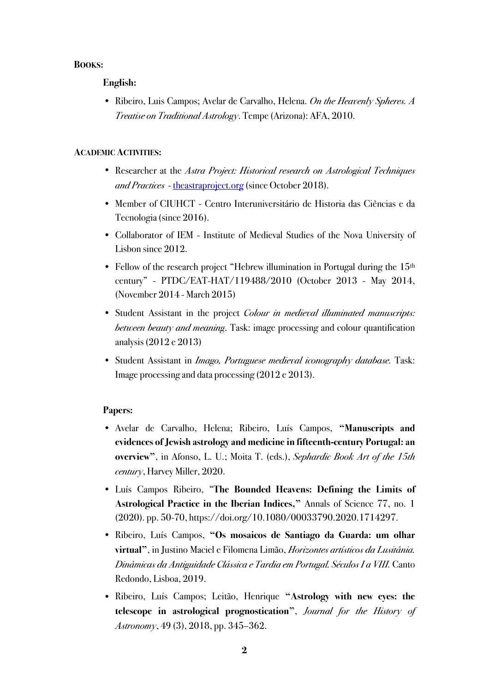# **BOOKS:**

# **English:**

• Ribeiro, Luis Campos; Avelar de Carvalho, Helena. *On the Heavenly Spheres. A Treatise on Traditional Astrology*. Tempe (Arizona): AFA, 2010.

### **ACADEMIC ACTIVITIES:**

- Researcher at the *Astra Project: Historical research on Astrological Techniques and Practices* - [theastraproject.org](http://theastraproject.org) (since October 2018).
- Member of CIUHCT Centro Interuniversitário de Historia das Ciências e da Tecnologia (since 2016).
- Collaborator of IEM Institute of Medieval Studies of the Nova University of Lisbon since 2012.
- Fellow of the research project "Hebrew illumination in Portugal during the  $15<sup>th</sup>$ century" - PTDC/EAT-HAT/119488/2010 (October 2013 - May 2014, (November 2014 - March 2015)
- Student Assistant in the project *Colour in medieval illuminated manuscripts: between beauty and meaning*. Task: image processing and colour quantification analysis (2012 e 2013)
- Student Assistant in *Imago, Portuguese medieval iconography database.* Task: Image processing and data processing (2012 e 2013).

# **Papers:**

- Avelar de Carvalho, Helena; Ribeiro, Luís Campos, **"Manuscripts and evidences of Jewish astrology and medicine in fifteenth-century Portugal: an overview"**, in Afonso, L. U.; Moita T. (eds.), *Sephardic Book Art of the 15th century*, Harvey Miller, 2020.
- Luís Campos Ribeiro, "**The Bounded Heavens: Defining the Limits of Astrological Practice in the Iberian Indices,"** Annals of Science 77, no. 1 (2020). pp. 50-70, https://doi.org/10.1080/00033790.2020.1714297.
- Ribeiro, Luís Campos, **"Os mosaicos de Santiago da Guarda: um olhar virtual"**, in Justino Maciel e Filomena Limão, *Horizontes artísticos da Lusitânia. Dinâmicas da Antiguidade Clássica e Tardia em Portugal. Séculos I a VIII.* Canto Redondo, Lisboa, 2019.
- Ribeiro, Luís Campos; Leitão, Henrique **"Astrology with new eyes: the telescope in astrological prognostication"**, *Journal for the History of Astronomy*, 49 (3), 2018, pp. 345–362.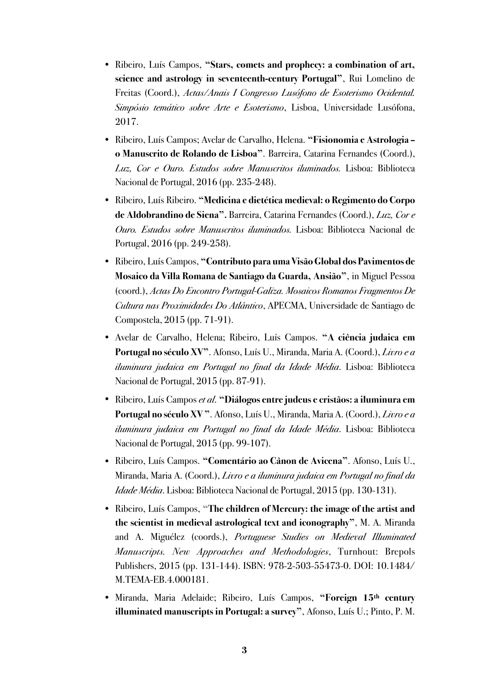- Ribeiro, Luís Campos, **"Stars, comets and prophecy: a combination of art, science and astrology in seventeenth-century Portugal"**, Rui Lomelino de Freitas (Coord.), *Actas/Anais I Congresso Lusófono de Esoterismo Ocidental. Simpósio temático sobre Arte e Esoterismo*, Lisboa, Universidade Lusófona, 2017.
- Ribeiro, Luís Campos; Avelar de Carvalho, Helena. **"Fisionomia e Astrologia o Manuscrito de Rolando de Lisboa"**. Barreira, Catarina Fernandes (Coord.), *Luz, Cor e Ouro. Estudos sobre Manuscritos iluminados.* Lisboa: Biblioteca Nacional de Portugal, 2016 (pp. 235-248).
- Ribeiro, Luís Ribeiro. **"Medicina e dietética medieval: o Regimento do Corpo de Aldobrandino de Siena".** Barreira, Catarina Fernandes (Coord.), *Luz, Cor e Ouro. Estudos sobre Manuscritos iluminados.* Lisboa: Biblioteca Nacional de Portugal, 2016 (pp. 249-258).
- Ribeiro, Luís Campos, **"Contributo para uma Visão Global dos Pavimentos de Mosaico da Villa Romana de Santiago da Guarda, Ansião"**, in Miguel Pessoa (coord.), *Actas Do Encontro Portugal-Galiza. Mosaicos Romanos Fragmentos De Cultura nas Proximidades Do Atlântico*, APECMA, Universidade de Santiago de Compostela, 2015 (pp. 71-91).
- Avelar de Carvalho, Helena; Ribeiro, Luís Campos. **"A ciência judaica em Portugal no século XV"**. Afonso, Luís U., Miranda, Maria A. (Coord.), *Livro e a iluminura judaica em Portugal no final da Idade Média*. Lisboa: Biblioteca Nacional de Portugal, 2015 (pp. 87-91).
- Ribeiro, Luís Campos *et al*. **"Diálogos entre judeus e cristãos: a iluminura em Portugal no século XV "**. Afonso, Luís U., Miranda, Maria A. (Coord.), *Livro e a iluminura judaica em Portugal no final da Idade Média*. Lisboa: Biblioteca Nacional de Portugal, 2015 (pp. 99-107).
- Ribeiro, Luís Campos. **"Comentário ao Cânon de Avicena"**. Afonso, Luís U., Miranda, Maria A. (Coord.), *Livro e a iluminura judaica em Portugal no final da Idade Média*. Lisboa: Biblioteca Nacional de Portugal, 2015 (pp. 130-131).
- Ribeiro, Luís Campos, **"The children of Mercury: the image of the artist and the scientist in medieval astrological text and iconography"**, M. A. Miranda and A. Miguélez (coords.), *Portuguese Studies on Medieval Illuminated Manuscripts. New Approaches and Methodologies*, Turnhout: Brepols Publishers, 2015 (pp. 131-144). ISBN: 978-2-503-55473-0. DOI: 10.1484/ M.TEMA-EB.4.000181.
- Miranda, Maria Adelaide; Ribeiro, Luís Campos, **"Foreign 15th century illuminated manuscripts in Portugal: a survey"**, Afonso, Luís U.; Pinto, P. M.